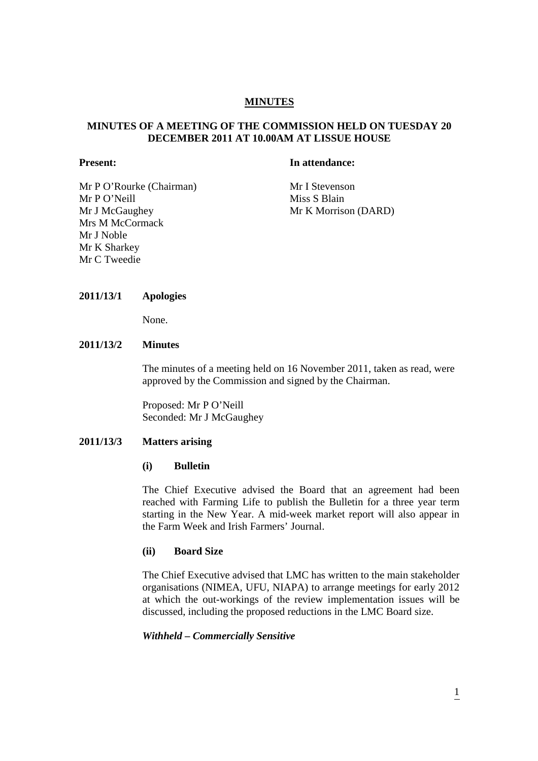# **MINUTES**

# **MINUTES OF A MEETING OF THE COMMISSION HELD ON TUESDAY 20 DECEMBER 2011 AT 10.00AM AT LISSUE HOUSE**

**Present:** In attendance:

Mr P O'Rourke (Chairman) Mr I Stevenson Mr P O'Neill Miss S Blain Mr J McGaughey Mr K Morrison (DARD) Mrs M McCormack Mr J Noble Mr K Sharkey Mr C Tweedie

#### **2011/13/1 Apologies**

None.

# **2011/13/2 Minutes**

The minutes of a meeting held on 16 November 2011, taken as read, were approved by the Commission and signed by the Chairman.

Proposed: Mr P O'Neill Seconded: Mr J McGaughey

#### **2011/13/3 Matters arising**

#### **(i) Bulletin**

The Chief Executive advised the Board that an agreement had been reached with Farming Life to publish the Bulletin for a three year term starting in the New Year. A mid-week market report will also appear in the Farm Week and Irish Farmers' Journal.

#### **(ii) Board Size**

The Chief Executive advised that LMC has written to the main stakeholder organisations (NIMEA, UFU, NIAPA) to arrange meetings for early 2012 at which the out-workings of the review implementation issues will be discussed, including the proposed reductions in the LMC Board size.

#### *Withheld – Commercially Sensitive*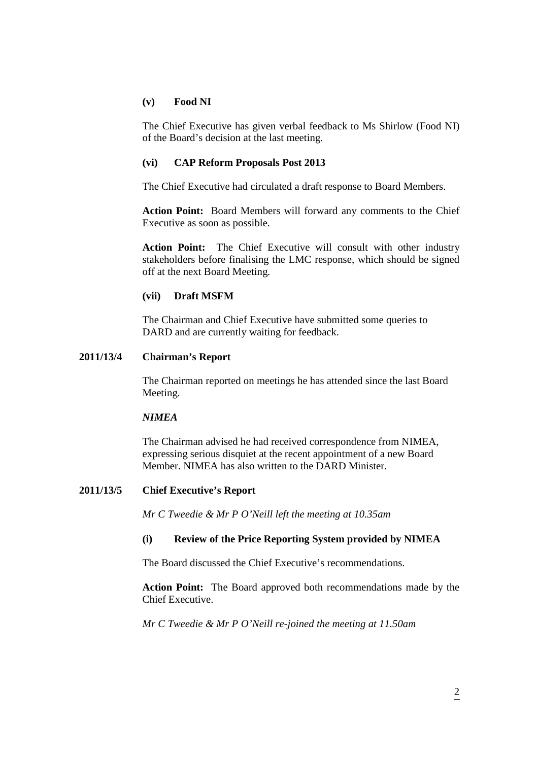## **(v) Food NI**

The Chief Executive has given verbal feedback to Ms Shirlow (Food NI) of the Board's decision at the last meeting.

## **(vi) CAP Reform Proposals Post 2013**

The Chief Executive had circulated a draft response to Board Members.

**Action Point:** Board Members will forward any comments to the Chief Executive as soon as possible.

**Action Point:** The Chief Executive will consult with other industry stakeholders before finalising the LMC response, which should be signed off at the next Board Meeting.

## **(vii) Draft MSFM**

The Chairman and Chief Executive have submitted some queries to DARD and are currently waiting for feedback.

# **2011/13/4 Chairman's Report**

The Chairman reported on meetings he has attended since the last Board Meeting.

#### *NIMEA*

 The Chairman advised he had received correspondence from NIMEA, expressing serious disquiet at the recent appointment of a new Board Member. NIMEA has also written to the DARD Minister.

# **2011/13/5 Chief Executive's Report**

*Mr C Tweedie & Mr P O'Neill left the meeting at 10.35am* 

# **(i) Review of the Price Reporting System provided by NIMEA**

The Board discussed the Chief Executive's recommendations.

**Action Point:** The Board approved both recommendations made by the Chief Executive.

*Mr C Tweedie & Mr P O'Neill re-joined the meeting at 11.50am*